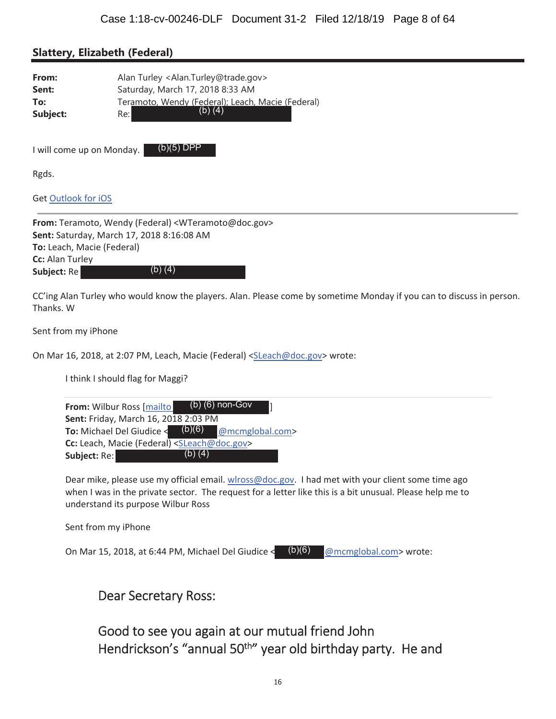#### **Slattery, Elizabeth (Federal)**

| From:    | Alan Turley <alan.turley@trade.gov></alan.turley@trade.gov> |  |
|----------|-------------------------------------------------------------|--|
| Sent:    | Saturday, March 17, 2018 8:33 AM                            |  |
| To:      | Teramoto, Wendy (Federal); Leach, Macie (Federal)           |  |
| Subject: | $(b)$ $(4)$<br>Re:l                                         |  |

(b)(5) DPP

I will come up on Monday.

Rgds.

Get Outlook for iOS

**From:** Teramoto, Wendy (Federal) <WTeramoto@doc.gov> Sent: Saturday, March 17, 2018 8:16:08 AM **To:** Leach, Macie (Federal) **Cc:** Alan Turley Subject: Re (b) (4)

CC'ing Alan Turley who would know the players. Alan. Please come by sometime Monday if you can to discuss in person. Thanks. W

Sent from my iPhone

On Mar 16, 2018, at 2:07 PM, Leach, Macie (Federal) <SLeach@doc.gov> wrote:

I think I should flag for Maggi?

| From: Wilbur Ross [mailto]                                   |           | $(b)$ (6) non-Gov |  |
|--------------------------------------------------------------|-----------|-------------------|--|
| Sent: Friday, March 16, 2018 2:03 PM                         |           |                   |  |
| <b>To:</b> Michael Del Giudice $\triangleleft$               | (b)(6)    | @mcmglobal.com>   |  |
| Cc: Leach, Macie (Federal) <sleach@doc.gov></sleach@doc.gov> |           |                   |  |
| <b>Subject:</b> Re:                                          | (b) $(4)$ |                   |  |

Dear mike, please use my official email. wlross@doc.gov. I had met with your client some time ago when I was in the private sector. The request for a letter like this is a bit unusual. Please help me to understand its purpose Wilbur Ross

Sent from my iPhone

On Mar 15, 2018, at 6:44 PM, Michael Del Giudice <  $(b)(6)$  @mcmglobal.com> wrote: (b)(6)

Dear Secretary Ross:

Good to see you again at our mutual friend John Hendrickson's "annual 50<sup>th</sup>" year old birthday party. He and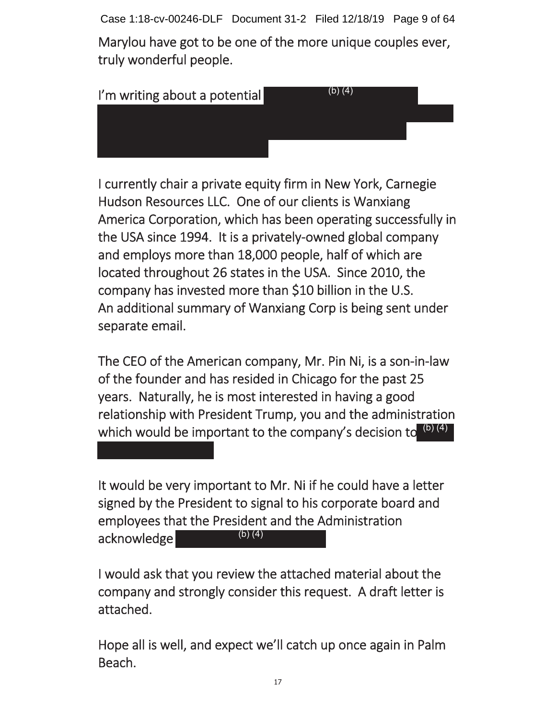Case 1:18-cv-00246-DLF Document 31-2 Filed 12/18/19 Page 9 of 64

Marylou have got to be one of the more unique couples ever, truly wonderful people.



I currently chair a private equity firm in New York, Carnegie Hudson Resources LLC. One of our clients is Wanxiang America Corporation, which has been operating successfully in the USA since 1994. It is a privately-owned global company and employs more than 18,000 people, half of which are located throughout 26 states in the USA. Since 2010, the company has invested more than \$10 billion in the U.S. An additional summary of Wanxiang Corp is being sent under separate email.

The CEO of the American company, Mr. Pin Ni, is a son-in-law of the founder and has resided in Chicago for the past 25 years. Naturally, he is most interested in having a good relationship with President Trump, you and the administration which would be important to the company's decision to  $\frac{(b)(4)}{2}$ 

It would be very important to Mr. Ni if he could have a letter signed by the President to signal to his corporate board and employees that the President and the Administration acknowledge (b) (4)

I would ask that you review the attached material about the company and strongly consider this request. A draft letter is attached.

Hope all is well, and expect we'll catch up once again in Palm Beach.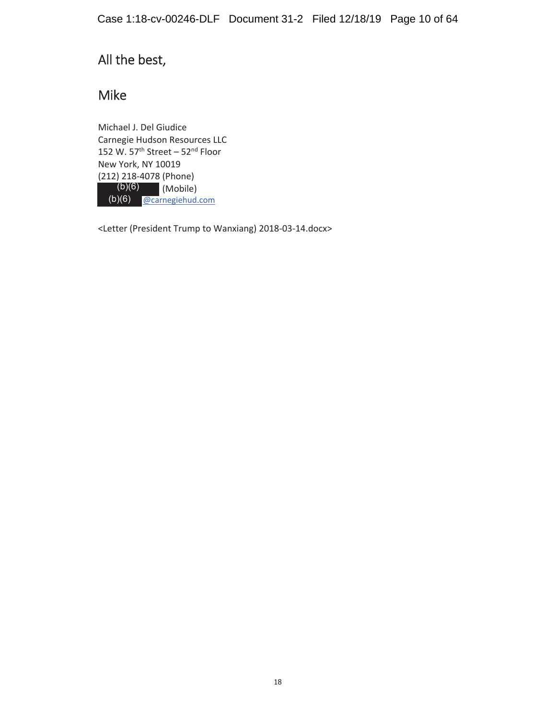### All the best,

### Mike

Michael J. Del Giudice Carnegie Hudson Resources LLC 152 W.  $57<sup>th</sup> Street - 52<sup>nd</sup> Floor$ New York, NY 10019 (212) 218-4078 (Phone) (Mobile) (b)(6) **@carnegiehud.com**  $(b)(6)$ 

<Letter (President Trump to Wanxiang) 2018-03-14.docx>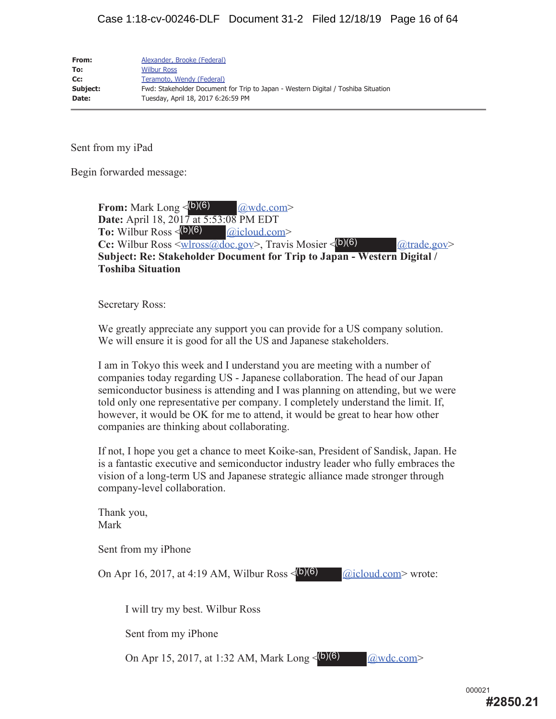| From:    | Alexander, Brooke (Federal)                                                       |
|----------|-----------------------------------------------------------------------------------|
| To:      | <b>Wilbur Ross</b>                                                                |
| Cc:      | Teramoto, Wendy (Federal)                                                         |
| Subject: | Fwd: Stakeholder Document for Trip to Japan - Western Digital / Toshiba Situation |
| Date:    | Tuesday, April 18, 2017 6:26:59 PM                                                |

Sent from my iPad

Begin forwarded message:

**From:** Mark Long <  $(b)(6)$   $Qwdc.com$ **Date:** April 18, 2017 at 5:53:08 PM EDT **To:** Wilbur Ross <  $(b)(6)$   $\qquad \qquad \boxed{Qicloud.com}$ **Cc:** Wilbur Ross <wlross@doc.gov>, Travis Mosier < (b)(6) (atrade.gov> **Subject: Re: Stakeholder Document for Trip to Japan - Western Digital / Toshiba Situation**

Secretary Ross:

We greatly appreciate any support you can provide for a US company solution. We will ensure it is good for all the US and Japanese stakeholders.

I am in Tokyo this week and I understand you are meeting with a number of companies today regarding US - Japanese collaboration. The head of our Japan semiconductor business is attending and I was planning on attending, but we were told only one representative per company. I completely understand the limit. If, however, it would be OK for me to attend, it would be great to hear how other companies are thinking about collaborating.

If not, I hope you get a chance to meet Koike-san, President of Sandisk, Japan. He is a fantastic executive and semiconductor industry leader who fully embraces the vision of a long-term US and Japanese strategic alliance made stronger through company-level collaboration.

Thank you, Mark Sent from my iPhone On Apr 16, 2017, at 4:19 AM, Wilbur Ross <  $(b)(6)$  @icloud.com > wrote: I will try my best. Wilbur Ross Sent from my iPhone On Apr 15, 2017, at 1:32 AM, Mark Long < (b) (6)  $\qquad \qquad \boxed{\omega \text{wdc.com}}$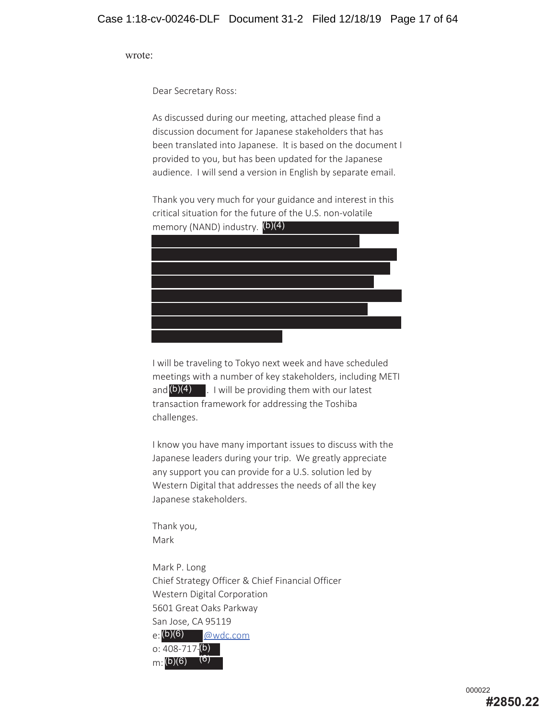wrote:

Dear Secretary Ross:

As discussed during our meeting, attached please find a discussion document for Japanese stakeholders that has been translated into Japanese. It is based on the document I provided to you, but has been updated for the Japanese audience. I will send a version in English by separate email.

Thank you very much for your guidance and interest in this critical situation for the future of the U.S. non-volatile memory (NAND) industry. (b)(4)



I will be traveling to Tokyo next week and have scheduled meetings with a number of key stakeholders, including METI and  $(b)(4)$  . I will be providing them with our latest transaction framework for addressing the Toshiba challenges.

I know you have many important issues to discuss with the Japanese leaders during your trip. We greatly appreciate any support you can provide for a U.S. solution led by Western Digital that addresses the needs of all the key Japanese stakeholders.

Thank you, Mark

Mark P. Long Chief Strategy Officer & Chief Financial Officer Western Digital Corporation 5601 Great Oaks Parkway San Jose, CA 95119 @wdc.com o: 408-717-<mark>(b)</mark> m: (b)(6)  $_{\mathsf{e}}^{_{\mathsf{f}}\mathsf{(b)}\mathsf{(6)}}$ (6)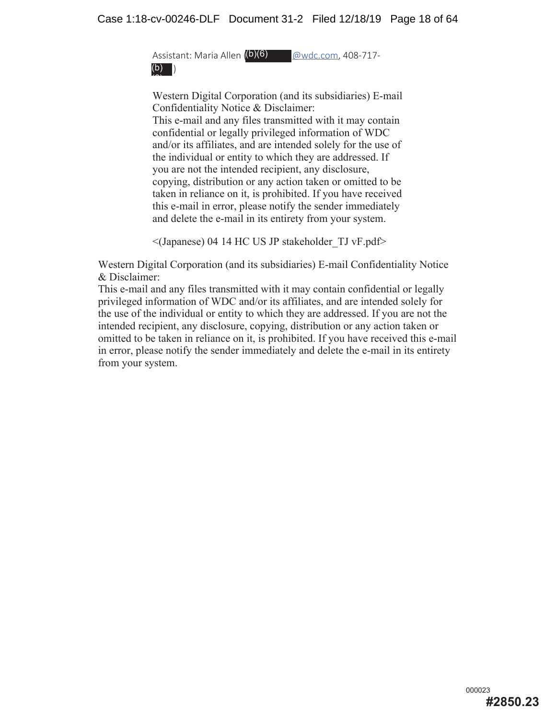Assistant: Maria Allen ( @wdc.com, 408-717- (b)(6) ) (b)  $\overline{\phantom{a}}$ 

Western Digital Corporation (and its subsidiaries) E-mail Confidentiality Notice & Disclaimer: This e-mail and any files transmitted with it may contain confidential or legally privileged information of WDC and/or its affiliates, and are intended solely for the use of the individual or entity to which they are addressed. If you are not the intended recipient, any disclosure, copying, distribution or any action taken or omitted to be taken in reliance on it, is prohibited. If you have received this e-mail in error, please notify the sender immediately and delete the e-mail in its entirety from your system.

 $\leq$ (Japanese) 04 14 HC US JP stakeholder TJ vF.pdf>

Western Digital Corporation (and its subsidiaries) E-mail Confidentiality Notice & Disclaimer:

This e-mail and any files transmitted with it may contain confidential or legally privileged information of WDC and/or its affiliates, and are intended solely for the use of the individual or entity to which they are addressed. If you are not the intended recipient, any disclosure, copying, distribution or any action taken or omitted to be taken in reliance on it, is prohibited. If you have received this e-mail in error, please notify the sender immediately and delete the e-mail in its entirety from your system.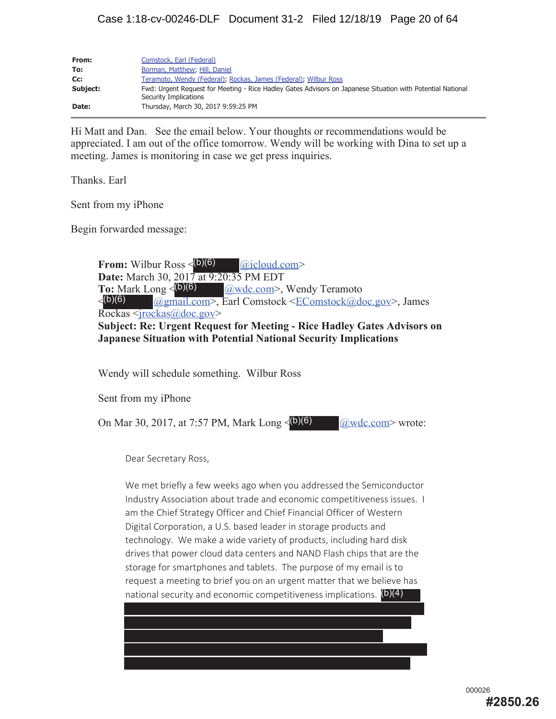| From:    | Comstock, Earl (Federal)                                                                                                            |
|----------|-------------------------------------------------------------------------------------------------------------------------------------|
| To:      | Borman, Matthew, Hill, Daniel                                                                                                       |
| Cc:      | Teramoto, Wendy (Federal), Rockas, James (Federal), Wilbur Ross                                                                     |
| Subject: | Fwd: Urgent Request for Meeting - Rice Hadley Gates Advisors on Japanese Situation with Potential National<br>Security Implications |
| Date:    | Thursday, March 30, 2017 9:59:25 PM                                                                                                 |

Hi Matt and Dan. See the email below. Your thoughts or recommendations would be appreciated. I am out of the office tomorrow. Wendy will be working with Dina to set up a meeting. James is monitoring in case we get press inquiries.

Thanks. Earl

Sent from my iPhone

Begin forwarded message:

**From:** Wilbur Ross < @icloud.com> (b)(6) **Date:** March 30, 2017 at 9:20:35 PM EDT **@wdc.com>**, Wendy Teramoto < @gmail.com>, Earl Comstock <EComstock@doc.gov>, James Rockas <jrockas@doc.gov> **Subject: Re: Urgent Request for Meeting - Rice Hadley Gates Advisors on Japanese Situation with Potential National Security Implications** To: Mark Long  $\leq$  (b)(6)  $\langle (b)(6) \rangle$ 

Wendy will schedule something. Wilbur Ross

Sent from my iPhone

On Mar 30, 2017, at 7:57 PM, Mark Long  $\leq$  (b)(6)  $\qquad \qquad \textcircled{awdc.com}$  wrote:

Dear Secretary Ross,

We met briefly a few weeks ago when you addressed the Semiconductor Industry Association about trade and economic competitiveness issues. I am the Chief Strategy Officer and Chief Financial Officer of Western Digital Corporation, a U.S. based leader in storage products and technology. We make a wide variety of products, including hard disk drives that power cloud data centers and NAND Flash chips that are the storage for smartphones and tablets. The purpose of my email is to request a meeting to brief you on an urgent matter that we believe has national security and economic competitiveness implications. (b)(4)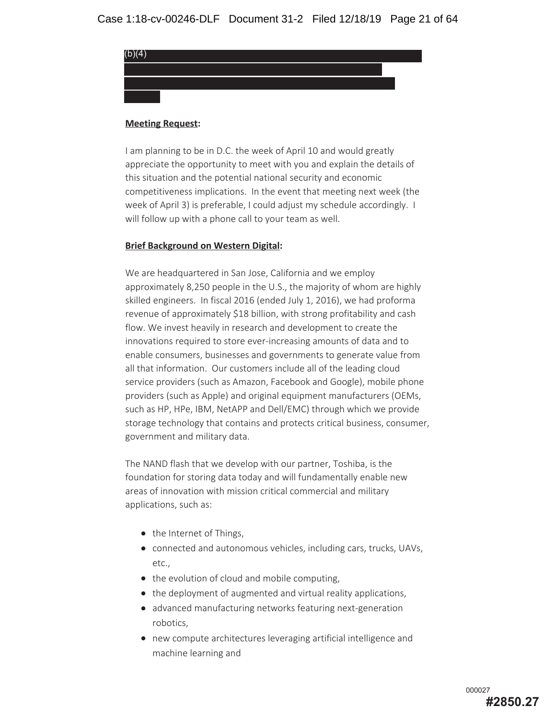

#### **Meeting Request:**

I am planning to be in D.C. the week of April 10 and would greatly appreciate the opportunity to meet with you and explain the details of this situation and the potential national security and economic competitiveness implications. In the event that meeting next week (the week of April 3) is preferable, I could adjust my schedule accordingly. I will follow up with a phone call to your team as well.

#### **Brief Background on Western Digital:**

We are headquartered in San Jose, California and we employ approximately 8,250 people in the U.S., the majority of whom are highly skilled engineers. In fiscal 2016 (ended July 1, 2016), we had proforma revenue of approximately \$18 billion, with strong profitability and cash flow. We invest heavily in research and development to create the innovations required to store ever-increasing amounts of data and to enable consumers, businesses and governments to generate value from all that information. Our customers include all of the leading cloud service providers (such as Amazon, Facebook and Google), mobile phone providers (such as Apple) and original equipment manufacturers (OEMs, such as HP, HPe, IBM, NetAPP and Dell/EMC) through which we provide storage technology that contains and protects critical business, consumer, government and military data.

The NAND flash that we develop with our partner, Toshiba, is the foundation for storing data today and will fundamentally enable new areas of innovation with mission critical commercial and military applications, such as:

- the Internet of Things,
- connected and autonomous vehicles, including cars, trucks, UAVs, etc.,
- the evolution of cloud and mobile computing,
- the deployment of augmented and virtual reality applications,
- advanced manufacturing networks featuring next-generation robotics,
- new compute architectures leveraging artificial intelligence and machine learning and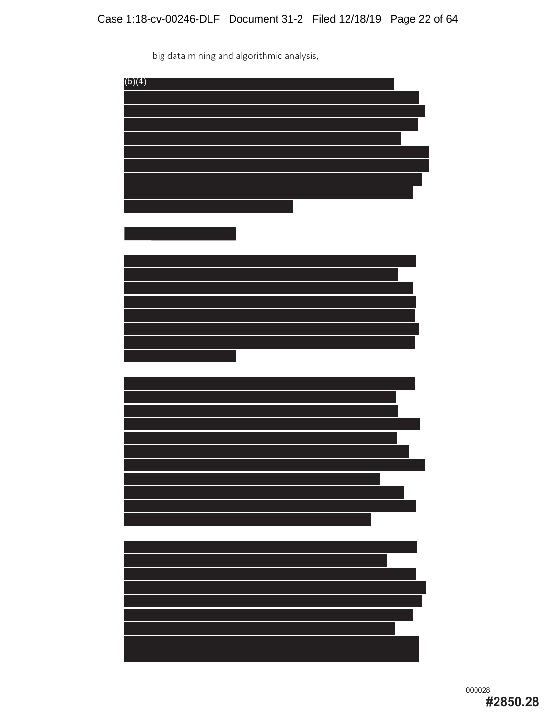big data mining and algorithmic analysis,

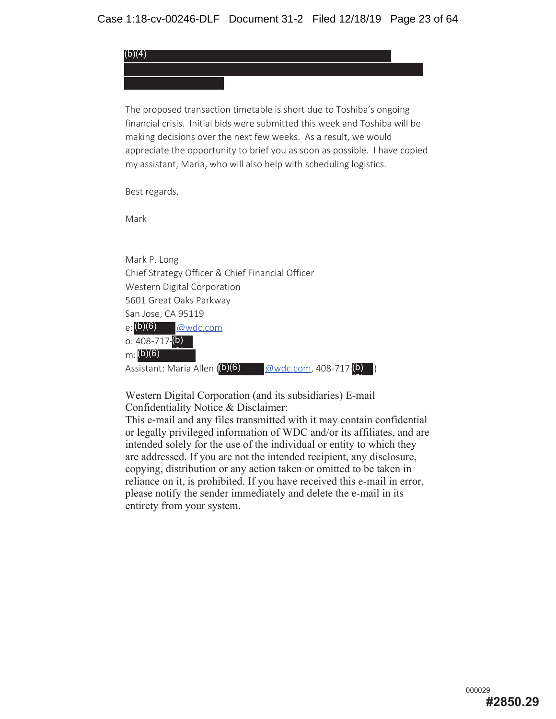The proposed transaction timetable is short due to Toshiba's ongoing financial crisis. Initial bids were submitted this week and Toshiba will be making decisions over the next few weeks. As a result, we would appreciate the opportunity to brief you as soon as possible. I have copied my assistant, Maria, who will also help with scheduling logistics.

Best regards,

Mark

(b)(4)

Mark P. Long Chief Strategy Officer & Chief Financial Officer Western Digital Corporation 5601 Great Oaks Parkway San Jose, CA 95119 @wdc.com o: 408-717-<mark>(b)</mark>  $m:(b)(6)$ Assistant: Maria Allen  $( b)(6)$ (b)(6)  $(\omega_{\text{wdc.com}}$ , 408-717 $(\mathsf{b})$ 

Western Digital Corporation (and its subsidiaries) E-mail Confidentiality Notice & Disclaimer:

This e-mail and any files transmitted with it may contain confidential or legally privileged information of WDC and/or its affiliates, and are intended solely for the use of the individual or entity to which they are addressed. If you are not the intended recipient, any disclosure, copying, distribution or any action taken or omitted to be taken in reliance on it, is prohibited. If you have received this e-mail in error, please notify the sender immediately and delete the e-mail in its entirety from your system.

 $\overline{\phantom{a}}$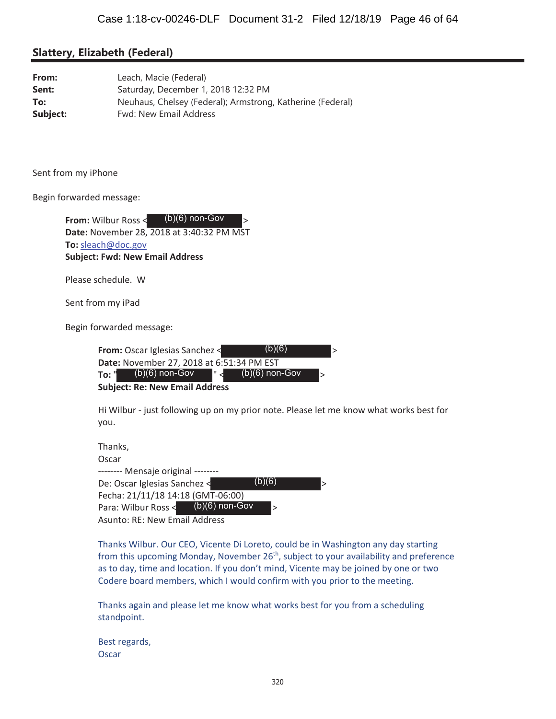#### **Slattery, Elizabeth (Federal)**

| From:    | Leach, Macie (Federal)                                     |
|----------|------------------------------------------------------------|
| Sent:    | Saturday, December 1, 2018 12:32 PM                        |
| To:      | Neuhaus, Chelsey (Federal); Armstrong, Katherine (Federal) |
| Subject: | <b>Fwd: New Email Address</b>                              |

Sent from my iPhone

Begin forwarded message:

| $(b)(6)$ non-Gov<br><b>From: Wilbur Ross &lt;</b><br>$\geq$                                                                                                                                                |
|------------------------------------------------------------------------------------------------------------------------------------------------------------------------------------------------------------|
| Date: November 28, 2018 at 3:40:32 PM MST                                                                                                                                                                  |
| To: sleach@doc.gov                                                                                                                                                                                         |
| <b>Subject: Fwd: New Email Address</b>                                                                                                                                                                     |
| Please schedule. W                                                                                                                                                                                         |
| Sent from my iPad                                                                                                                                                                                          |
| Begin forwarded message:                                                                                                                                                                                   |
| (b)(6)<br><b>From:</b> Oscar Iglesias Sanchez <<br>$\geq$<br>Date: November 27, 2018 at 6:51:34 PM EST<br>$(b)(6)$ non-Gov<br>$(b)(6)$ non-Gov<br>To: "<br>$\geq$<br><b>Subject: Re: New Email Address</b> |
| Hi Wilbur - just following up on my prior note. Please let me<br>you.                                                                                                                                      |
| Thanks,<br>Oscar                                                                                                                                                                                           |

Thanks Wilbur. Our CEO, Vicente Di Loreto, could be in Washington any day starting from this upcoming Monday, November 26<sup>th</sup>, subject to your availability and preference as to day, time and location. If you don't mind, Vicente may be joined by one or two Codere board members, which I would confirm with you prior to the meeting.

know what works best for

Thanks again and please let me know what works best for you from a scheduling standpoint.

Best regards, Oscar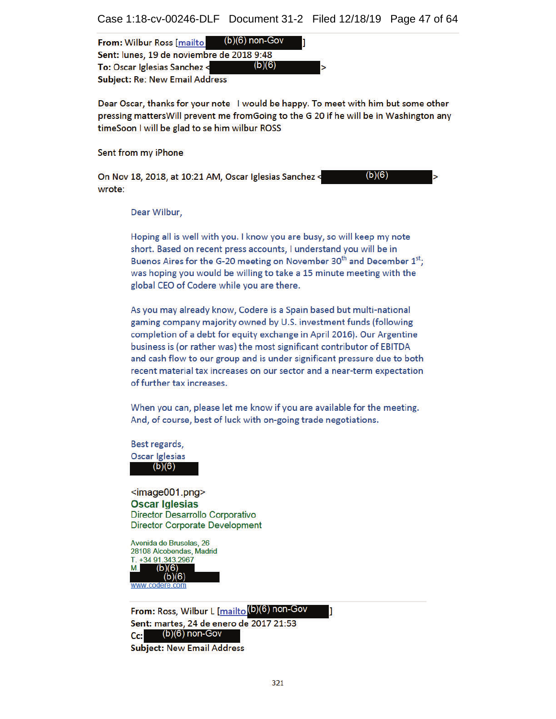| From: Wilbur Ross [mailto (b)(6) non-Gov  |        |  |
|-------------------------------------------|--------|--|
| Sent: lunes, 19 de noviembre de 2018 9:48 |        |  |
| To: Oscar Iglesias Sanchez <              | (b)(6) |  |
| <b>Subject: Re: New Email Address</b>     |        |  |

Dear Oscar, thanks for your note I would be happy. To meet with him but some other pressing matters Will prevent me from Going to the G 20 if he will be in Washington any timeSoon I will be glad to se him wilbur ROSS

Sent from my iPhone

 $(b)(6)$ On Nov 18, 2018, at 10:21 AM, Oscar Iglesias Sanchez < wrote:

Dear Wilbur,

Hoping all is well with you. I know you are busy, so will keep my note short. Based on recent press accounts, I understand you will be in Buenos Aires for the G-20 meeting on November 30<sup>th</sup> and December 1<sup>st</sup>: was hoping you would be willing to take a 15 minute meeting with the global CEO of Codere while you are there.

As you may already know, Codere is a Spain based but multi-national gaming company majority owned by U.S. investment funds (following completion of a debt for equity exchange in April 2016). Our Argentine business is (or rather was) the most significant contributor of EBITDA and cash flow to our group and is under significant pressure due to both recent material tax increases on our sector and a near-term expectation of further tax increases.

When you can, please let me know if you are available for the meeting. And, of course, best of luck with on-going trade negotiations.

Best regards, Oscar Iglesias  $(b)(6)$ 

 $\leq$ image001.png> **Oscar Iglesias** Director Desarrollo Corporativo **Director Corporate Development** 

Avenida de Bruselas, 26 28108 Alcobendas, Madrid T. +34 91.343.2967  $(b)(6)$  $(b)(6)$ 

From: Ross, Wilbur L [mailto 0)(6) non-Gov Sent: martes, 24 de enero de 2017 21:53  $(b)(6)$  non-Gov  $Cc$ : **Subject: New Email Address**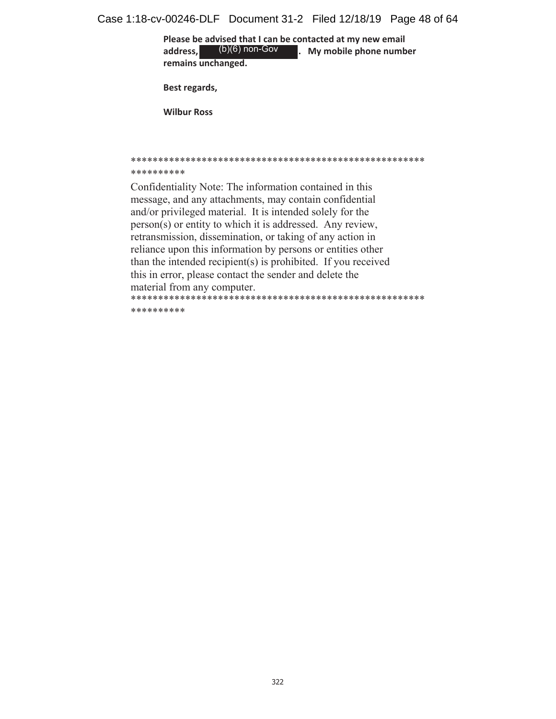Case 1:18-cv-00246-DLF Document 31-2 Filed 12/18/19 Page 48 of 64

Please be advised that I can be contacted at my new email address,  $(b)(6)$  non-Gov **No. My mobile phone number** remains unchanged. (b)(6) non-Gov

Best regards,

**Wilbur Ross** 

#### \*\*\*\*\*\*\*\*\*\*

Confidentiality Note: The information contained in this message, and any attachments, may contain confidential and/or privileged material. It is intended solely for the person(s) or entity to which it is addressed. Any review, retransmission, dissemination, or taking of any action in reliance upon this information by persons or entities other than the intended recipient(s) is prohibited. If you received this in error, please contact the sender and delete the material from any computer. 

\*\*\*\*\*\*\*\*\*\*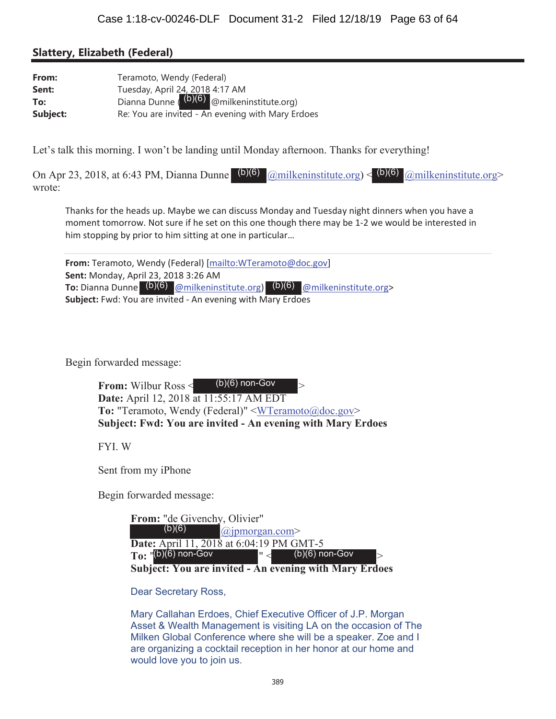#### **Slattery, Elizabeth (Federal)**

| From:    | Teramoto, Wendy (Federal)                                                                 |  |
|----------|-------------------------------------------------------------------------------------------|--|
| Sent:    |                                                                                           |  |
| To:      | Tuesday, April 24, 2018 4:17 AM<br>Dianna Dunne $\binom{(b)(6)}{0}$ @milkeninstitute.org) |  |
| Subject: | Re: You are invited - An evening with Mary Erdoes                                         |  |

Let's talk this morning. I won't be landing until Monday afternoon. Thanks for everything!

On Apr 23, 2018, at 6:43 PM, Dianna Dunne (b)(6)  $\omega$ milkeninstitute.org) < (b)(6)  $\omega$ milkeninstitute.org> wrote:

Thanks for the heads up. Maybe we can discuss Monday and Tuesday night dinners when you have a moment tomorrow. Not sure if he set on this one though there may be 1-2 we would be interested in him stopping by prior to him sitting at one in particular...

From: Teramoto, Wendy (Federal) [mailto: WTeramoto@doc.gov] Sent: Monday, April 23, 2018 3:26 AM **To:** Dianna Dunne  $(b)(6)$   $\omega$  milkeninstitute.org  $(b)(6)$   $\omega$  milkeninstitute.org> Subject: Fwd: You are invited - An evening with Mary Erdoes

Begin forwarded message:

| $(b)(6)$ non-Gov<br><b>From: Wilbur Ross &lt;</b><br>$\mathord{\rhd}$ |
|-----------------------------------------------------------------------|
| <b>Date:</b> April 12, 2018 at 11:55:17 AM EDT                        |
| <b>To:</b> "Teramoto, Wendy (Federal)" $\leq$ WTeramoto@doc.gov>      |
| <b>Subject: Fwd: You are invited - An evening with Mary Erdoes</b>    |

FYL W

Sent from my iPhone

Begin forwarded message:

| From: "de Givenchy, Olivier"                    |                                    |
|-------------------------------------------------|------------------------------------|
| (b)(6)                                          | $(a)$ jpmorgan.com>                |
| <b>Date:</b> April 11, 2018 at 6:04:19 PM GMT-5 |                                    |
| $To:$ $\frac{v(b)(6)}{b}$ non-Gov               | $\vert \cdot \vert$ (b)(6) non-Gov |
| Cubicate Van ana invited                        | An ovening with Mouy Fudes         |

Subject: You are invited - An evening with Mary Erdoes

**Dear Secretary Ross,** 

Mary Callahan Erdoes, Chief Executive Officer of J.P. Morgan Asset & Wealth Management is visiting LA on the occasion of The Milken Global Conference where she will be a speaker. Zoe and I are organizing a cocktail reception in her honor at our home and would love you to join us.